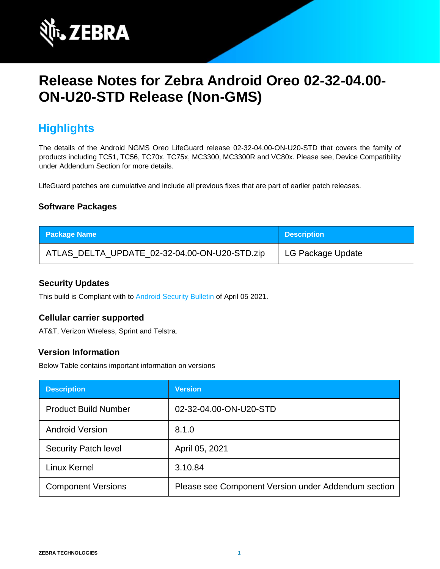

# **Release Notes for Zebra Android Oreo 02-32-04.00- ON-U20-STD Release (Non-GMS)**

## **Highlights**

The details of the Android NGMS Oreo LifeGuard release 02-32-04.00-ON-U20-STD that covers the family of products including TC51, TC56, TC70x, TC75x, MC3300, MC3300R and VC80x. Please see, Device Compatibility under Addendum Section for more details.

LifeGuard patches are cumulative and include all previous fixes that are part of earlier patch releases.

#### **Software Packages**

| <b>Package Name</b>                           | <b>Description</b> |
|-----------------------------------------------|--------------------|
| ATLAS_DELTA_UPDATE_02-32-04.00-ON-U20-STD.zip | LG Package Update  |

#### **Security Updates**

This build is Compliant with to [Android Security Bulletin](https://source.android.com/security/bulletin/) [o](https://source.android.com/security/bulletin/)f April 05 2021.

#### **Cellular carrier supported**

AT&T, Verizon Wireless, Sprint and Telstra.

#### **Version Information**

Below Table contains important information on versions

| <b>Description</b>          | <b>Version</b>                                      |
|-----------------------------|-----------------------------------------------------|
| <b>Product Build Number</b> | 02-32-04.00-ON-U20-STD                              |
| <b>Android Version</b>      | 8.1.0                                               |
| <b>Security Patch level</b> | April 05, 2021                                      |
| Linux Kernel                | 3.10.84                                             |
| <b>Component Versions</b>   | Please see Component Version under Addendum section |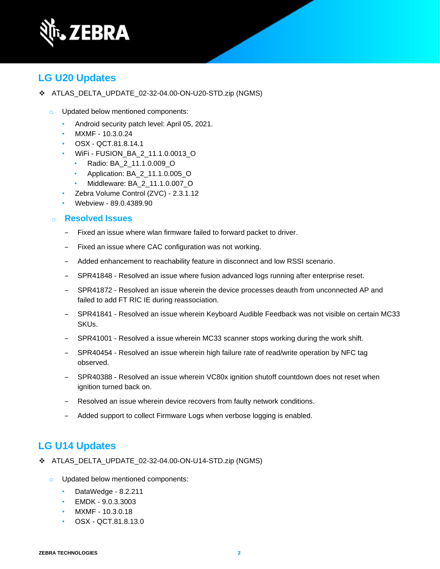

## **LG U20 Updates**

- ❖ ATLAS\_DELTA\_UPDATE\_02-32-04.00-ON-U20-STD.zip (NGMS)
	- o Updated below mentioned components:
		- Android security patch level: April 05, 2021.
		- MXMF 10.3.0.24
		- OSX QCT.81.8.14.1
		- WiFi FUSION\_BA\_2\_11.1.0.0013\_O
			- Radio: BA\_2\_11.1.0.009\_O
			- Application: BA\_2\_11.1.0.005\_O
			- Middleware: BA\_2\_11.1.0.007\_O
		- Zebra Volume Control (ZVC) 2.3.1.12
		- Webview 89.0.4389.90

#### o **Resolved Issues**

- ‒ Fixed an issue where wlan firmware failed to forward packet to driver.
- ‒ Fixed an issue where CAC configuration was not working.
- ‒ Added enhancement to reachability feature in disconnect and low RSSI scenario.
- SPR41848 Resolved an issue where fusion advanced logs running after enterprise reset.
- ‒ SPR41872 Resolved an issue wherein the device processes deauth from unconnected AP and failed to add FT RIC IE during reassociation.
- ‒ SPR41841 Resolved an issue wherein Keyboard Audible Feedback was not visible on certain MC33 SKUs.
- SPR41001 Resolved a issue wherein MC33 scanner stops working during the work shift.
- ‒ SPR40454 Resolved an issue wherein high failure rate of read/write operation by NFC tag observed.
- ‒ SPR40388 Resolved an issue wherein VC80x ignition shutoff countdown does not reset when ignition turned back on.
- Resolved an issue wherein device recovers from faulty network conditions.
- Added support to collect Firmware Logs when verbose logging is enabled.

### **LG U14 Updates**

- ❖ ATLAS\_DELTA\_UPDATE\_02-32-04.00-ON-U14-STD.zip (NGMS)
	- o Updated below mentioned components:
		- DataWedge 8.2.211
		- EMDK 9.0.3.3003
		- MXMF 10.3.0.18
		- OSX QCT.81.8.13.0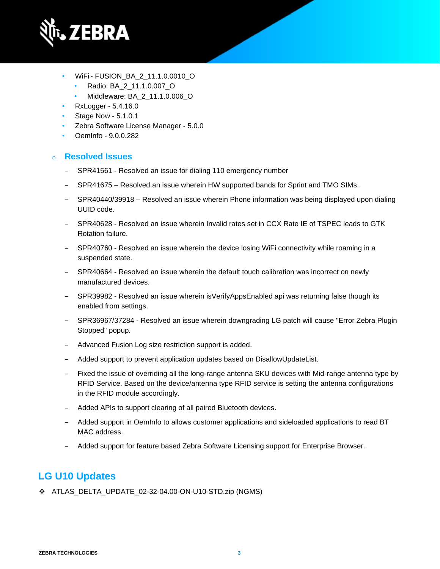

- WiFi- FUSION\_BA\_2\_11.1.0.0010\_O
	- Radio: BA\_2\_11.1.0.007\_O
	- Middleware: BA\_2\_11.1.0.006\_O
- RxLogger 5.4.16.0
- Stage Now 5.1.0.1
- Zebra Software License Manager 5.0.0
- OemInfo 9.0.0.282

### o **Resolved Issues**

- SPR41561 Resolved an issue for dialing 110 emergency number
- SPR41675 Resolved an issue wherein HW supported bands for Sprint and TMO SIMs.
- ‒ SPR40440/39918 Resolved an issue wherein Phone information was being displayed upon dialing UUID code.
- ‒ SPR40628 Resolved an issue wherein Invalid rates set in CCX Rate IE of TSPEC leads to GTK Rotation failure.
- SPR40760 Resolved an issue wherein the device losing WiFi connectivity while roaming in a suspended state.
- SPR40664 Resolved an issue wherein the default touch calibration was incorrect on newly manufactured devices.
- SPR39982 Resolved an issue wherein isVerifyAppsEnabled api was returning false though its enabled from settings.
- ‒ SPR36967/37284 Resolved an issue wherein downgrading LG patch will cause "Error Zebra Plugin Stopped" popup.
- Advanced Fusion Log size restriction support is added.
- Added support to prevent application updates based on DisallowUpdateList.
- ‒ Fixed the issue of overriding all the long-range antenna SKU devices with Mid-range antenna type by RFID Service. Based on the device/antenna type RFID service is setting the antenna configurations in the RFID module accordingly.
- Added APIs to support clearing of all paired Bluetooth devices.
- ‒ Added support in OemInfo to allows customer applications and sideloaded applications to read BT MAC address.
- ‒ Added support for feature based Zebra Software Licensing support for Enterprise Browser.

## **LG U10 Updates**

❖ ATLAS\_DELTA\_UPDATE\_02-32-04.00-ON-U10-STD.zip (NGMS)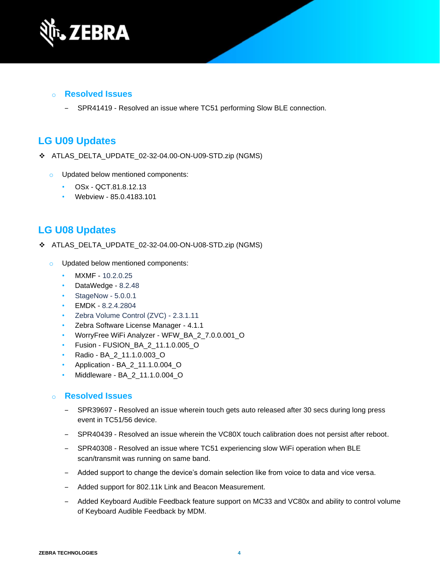

#### o **Resolved Issues**

‒ SPR41419 - Resolved an issue where TC51 performing Slow BLE connection.

### **LG U09 Updates**

- ❖ ATLAS\_DELTA\_UPDATE\_02-32-04.00-ON-U09-STD.zip (NGMS)
	- o Updated below mentioned components:
		- OSx QCT.81.8.12.13
		- Webview 85.0.4183.101

### **LG U08 Updates**

- ❖ ATLAS\_DELTA\_UPDATE\_02-32-04.00-ON-U08-STD.zip (NGMS)
	- o Updated below mentioned components:
		- MXMF 10.2.0.25
		- DataWedge 8.2.48
		- StageNow 5.0.0.1
		- EMDK 8.2.4.2804
		- Zebra Volume Control (ZVC) 2.3.1.11
		- Zebra Software License Manager 4.1.1
		- WorryFree WiFi Analyzer WFW\_BA\_2\_7.0.0.001\_O
		- Fusion FUSION\_BA\_2\_11.1.0.005\_O
		- Radio BA\_2\_11.1.0.003\_O
		- Application BA\_2\_11.1.0.004\_O
		- Middleware BA\_2\_11.1.0.004\_O

#### o **Resolved Issues**

- ‒ SPR39697 Resolved an issue wherein touch gets auto released after 30 secs during long press event in TC51/56 device.
- ‒ SPR40439 Resolved an issue wherein the VC80X touch calibration does not persist after reboot.
- ‒ SPR40308 Resolved an issue where TC51 experiencing slow WiFi operation when BLE scan/transmit was running on same band.
- ‒ Added support to change the device's domain selection like from voice to data and vice versa.
- Added support for 802.11k Link and Beacon Measurement.
- Added Keyboard Audible Feedback feature support on MC33 and VC80x and ability to control volume of Keyboard Audible Feedback by MDM.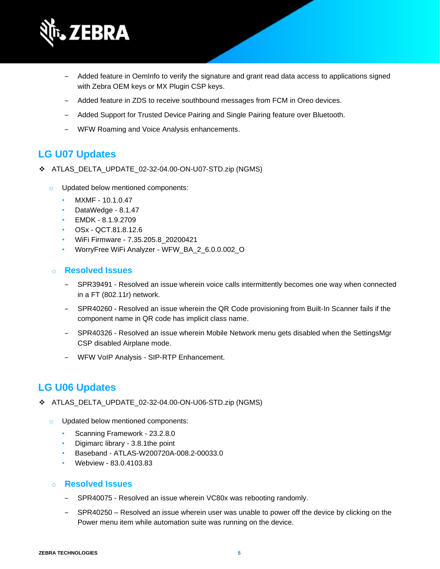

- ‒ Added feature in OemInfo to verify the signature and grant read data access to applications signed with Zebra OEM keys or MX Plugin CSP keys.
- ‒ Added feature in ZDS to receive southbound messages from FCM in Oreo devices.
- ‒ Added Support for Trusted Device Pairing and Single Pairing feature over Bluetooth.
- ‒ WFW Roaming and Voice Analysis enhancements.

## **LG U07 Updates**

- ❖ ATLAS\_DELTA\_UPDATE\_02-32-04.00-ON-U07-STD.zip (NGMS)
	- o Updated below mentioned components:
		- MXMF 10.1.0.47
		- DataWedge 8.1.47
		- EMDK 8.1.9.2709
		- OSx QCT.81.8.12.6
		- WiFi Firmware 7.35.205.8\_20200421
		- WorryFree WiFi Analyzer WFW\_BA\_2\_6.0.0.002\_O

### o **Resolved Issues**

- ‒ SPR39491 Resolved an issue wherein voice calls intermittently becomes one way when connected in a FT (802.11r) network.
- ‒ SPR40260 Resolved an issue wherein the QR Code provisioning from Built-In Scanner fails if the component name in QR code has implicit class name.
- ‒ SPR40326 Resolved an issue wherein Mobile Network menu gets disabled when the SettingsMgr CSP disabled Airplane mode.
- WFW VoIP Analysis SIP-RTP Enhancement.

## **LG U06 Updates**

- ❖ ATLAS\_DELTA\_UPDATE\_02-32-04.00-ON-U06-STD.zip (NGMS)
	- o Updated below mentioned components:
		- Scanning Framework 23.2.8.0
		- Digimarc library 3.8.1the point
		- Baseband ATLAS-W200720A-008.2-00033.0
		- Webview 83.0.4103.83

### o **Resolved Issues**

- SPR40075 Resolved an issue wherein VC80x was rebooting randomly.
- SPR40250 Resolved an issue wherein user was unable to power off the device by clicking on the Power menu item while automation suite was running on the device.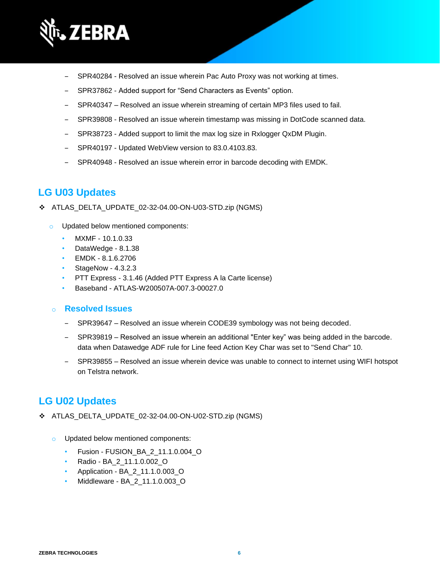

- SPR40284 Resolved an issue wherein Pac Auto Proxy was not working at times.
- ‒ SPR37862 Added support for "Send Characters as Events" option.
- ‒ SPR40347 Resolved an issue wherein streaming of certain MP3 files used to fail.
- ‒ SPR39808 Resolved an issue wherein timestamp was missing in DotCode scanned data.
- SPR38723 Added support to limit the max log size in Rxlogger QxDM Plugin.
- SPR40197 Updated WebView version to 83.0.4103.83.
- SPR40948 Resolved an issue wherein error in barcode decoding with EMDK.

## **LG U03 Updates**

- ❖ ATLAS\_DELTA\_UPDATE\_02-32-04.00-ON-U03-STD.zip (NGMS)
	- o Updated below mentioned components:
		- MXMF 10.1.0.33
		- DataWedge 8.1.38
		- EMDK 8.1.6.2706
		- StageNow 4.3.2.3
		- PTT Express 3.1.46 (Added PTT Express A la Carte license)
		- Baseband ATLAS-W200507A-007.3-00027.0

#### o **Resolved Issues**

- ‒ SPR39647 Resolved an issue wherein CODE39 symbology was not being decoded.
- ‒ SPR39819 Resolved an issue wherein an additional "Enter key" was being added in the barcode. data when Datawedge ADF rule for Line feed Action Key Char was set to "Send Char" 10.
- ‒ SPR39855 Resolved an issue wherein device was unable to connect to internet using WIFI hotspot on Telstra network.

### **LG U02 Updates**

- ❖ ATLAS\_DELTA\_UPDATE\_02-32-04.00-ON-U02-STD.zip (NGMS)
	- o Updated below mentioned components:
		- Fusion FUSION\_BA\_2\_11.1.0.004\_O
		- Radio BA\_2\_11.1.0.002\_O
		- Application BA\_2\_11.1.0.003\_O
		- Middleware BA\_2\_11.1.0.003\_O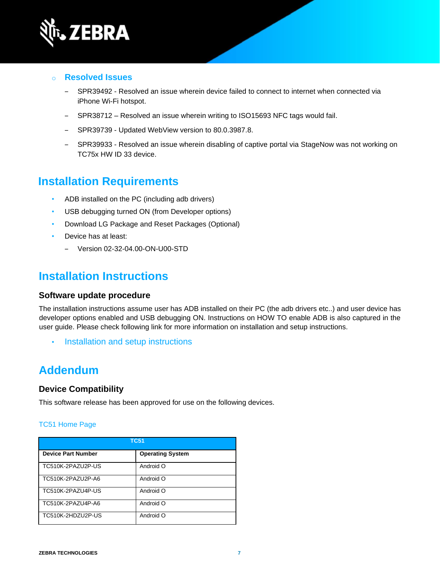

- o **Resolved Issues** 
	- SPR39492 Resolved an issue wherein device failed to connect to internet when connected via iPhone Wi-Fi hotspot.
	- ‒ SPR38712 Resolved an issue wherein writing to ISO15693 NFC tags would fail.
	- SPR39739 Updated WebView version to 80.0.3987.8.
	- ‒ SPR39933 Resolved an issue wherein disabling of captive portal via StageNow was not working on TC75x HW ID 33 device.

## **Installation Requirements**

- ADB installed on the PC (including adb drivers)
- USB debugging turned ON (from Developer options)
- Download LG Package and Reset Packages (Optional)
- Device has at least:
	- ‒ Version 02-32-04.00-ON-U00-STD

## **Installation Instructions**

#### **Software update procedure**

The installation instructions assume user has ADB installed on their PC (the adb drivers etc..) and user device has developer options enabled and USB debugging ON. Instructions on HOW TO enable ADB is also captured in the user guide. Please check following link for more information on installation and setup instructions.

• [Installation and setup instructions](https://www.zebra.com/content/dam/zebra_new_ia/en-us/software/operating-system/tc5x-tc7x-shared-operating-system/atlas_oreo-os-update-instructions.pdf)

## **Addendum**

#### **Device Compatibility**

This software release has been approved for use on the following devices.

#### [TC51 Home Page](https://www.zebra.com/us/en/support-downloads/mobile-computers/handheld/tc51.html)

| <b>TC51</b>               |                         |
|---------------------------|-------------------------|
| <b>Device Part Number</b> | <b>Operating System</b> |
| TC510K-2PAZU2P-US         | Android O               |
| TC510K-2PAZU2P-A6         | Android O               |
| TC510K-2PAZU4P-US         | Android O               |
| TC510K-2PAZU4P-A6         | Android O               |
| TC510K-2HDZU2P-US         | Android O               |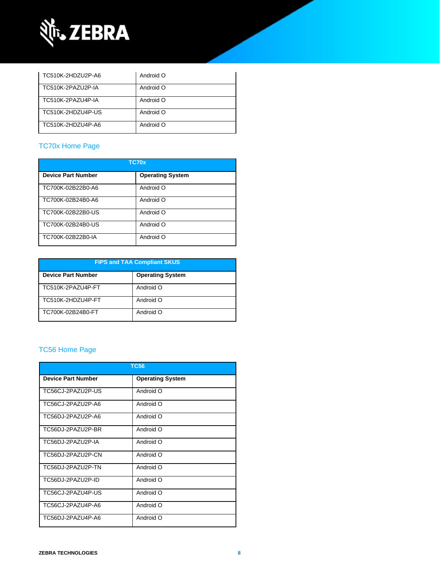

| TC510K-2HDZU2P-A6 | Android O |
|-------------------|-----------|
| TC510K-2PAZU2P-IA | Android O |
| TC510K-2PAZU4P-IA | Android O |
| TC510K-2HDZU4P-US | Android O |
| TC510K-2HDZU4P-A6 | Android O |

### [TC70x Home Page](https://www.zebra.com/us/en/support-downloads/mobile-computers/handheld/tc70x.html)

| <b>TC70x</b>              |                         |
|---------------------------|-------------------------|
| <b>Device Part Number</b> | <b>Operating System</b> |
| TC700K-02B22B0-A6         | Android O               |
| TC700K-02B24B0-A6         | Android O               |
| TC700K-02B22B0-US         | Android O               |
| TC700K-02B24B0-US         | Android O               |
| TC700K-02B22B0-IA         | Android O               |

| <b>FIPS and TAA Compliant SKUS</b> |                         |  |
|------------------------------------|-------------------------|--|
| <b>Device Part Number</b>          | <b>Operating System</b> |  |
| TC510K-2PAZU4P-FT                  | Android O               |  |
| TC510K-2HDZU4P-FT                  | Android O               |  |
| TC700K-02B24B0-FT                  | Android O               |  |

### [TC56 Home Page](https://www.zebra.com/us/en/support-downloads/mobile-computers/handheld/tc56.html)

| <b>TC56</b>               |                         |
|---------------------------|-------------------------|
| <b>Device Part Number</b> | <b>Operating System</b> |
| TC56CJ-2PAZU2P-US         | Android O               |
| TC56CJ-2PAZU2P-A6         | Android O               |
| TC56DJ-2PAZU2P-A6         | Android O               |
| TC56DJ-2PAZU2P-BR         | Android O               |
| TC56DJ-2PAZU2P-IA         | Android O               |
| TC56DJ-2PAZU2P-CN         | Android O               |
| TC56DJ-2PAZU2P-TN         | Android O               |
| TC56DJ-2PAZU2P-ID         | Android O               |
| TC56CJ-2PAZU4P-US         | Android O               |
| TC56CJ-2PAZU4P-A6         | Android O               |
| TC56DJ-2PAZU4P-A6         | Android O               |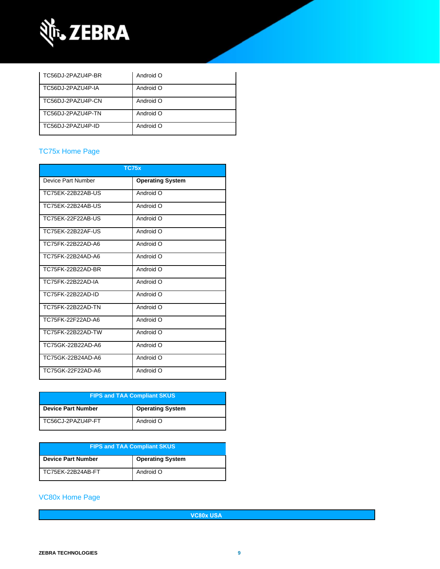

| TC56DJ-2PAZU4P-BR | Android O |
|-------------------|-----------|
| TC56DJ-2PAZU4P-IA | Android O |
| TC56DJ-2PAZU4P-CN | Android O |
| TC56DJ-2PAZU4P-TN | Android O |
| TC56DJ-2PAZU4P-ID | Android O |

### [TC75x Home Page](https://www.zebra.com/us/en/support-downloads/mobile-computers/handheld/tc75x.html)

| <b>TC75x</b>       |                         |  |
|--------------------|-------------------------|--|
| Device Part Number | <b>Operating System</b> |  |
| TC75FK-22B22AB-US  | Android O               |  |
| TC75EK-22B24AB-US  | Android O               |  |
| TC75EK-22F22AB-US  | Android O               |  |
| TC75FK-22B22AF-US  | Android O               |  |
| TC75FK-22B22AD-A6  | Android O               |  |
| TC75FK-22B24AD-A6  | Android O               |  |
| TC75FK-22B22AD-BR  | Android O               |  |
| TC75FK-22B22AD-IA  | Android O               |  |
| TC75FK-22B22AD-ID  | Android O               |  |
| TC75FK-22B22AD-TN  | Android O               |  |
| TC75FK-22F22AD-A6  | Android O               |  |
| TC75FK-22B22AD-TW  | Android O               |  |
| TC75GK-22B22AD-A6  | Android O               |  |
| TC75GK-22B24AD-A6  | Android O               |  |
| TC75GK-22F22AD-A6  | Android O               |  |

| <b>FIPS and TAA Compliant SKUS</b> |                         |  |
|------------------------------------|-------------------------|--|
| <b>Device Part Number</b>          | <b>Operating System</b> |  |
| TC56CJ-2PAZU4P-FT                  | Android O               |  |

| <b>FIPS and TAA Compliant SKUS</b> |                         |  |
|------------------------------------|-------------------------|--|
| <b>Device Part Number</b>          | <b>Operating System</b> |  |
| TC75EK-22B24AB-FT                  | Android O               |  |

### [VC80x Home Page](https://www.zebra.com/us/en/support-downloads/mobile-computers/vehicle-mounted/vc80x.html)

**VC80x USA**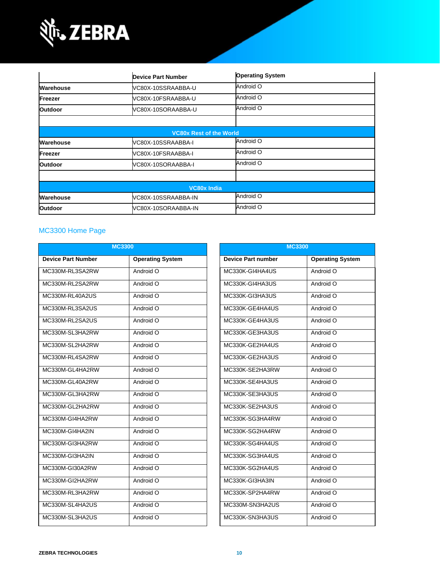

|                | <b>Device Part Number</b>      | <b>Operating System</b> |  |
|----------------|--------------------------------|-------------------------|--|
| Warehouse      | VC80X-10SSRAABBA-U             | Android O               |  |
| Freezer        | VC80X-10FSRAABBA-U             | Android O               |  |
| <b>Outdoor</b> | VC80X-10SORAABBA-U             | Android O               |  |
|                |                                |                         |  |
|                | <b>VC80x Rest of the World</b> |                         |  |
| Warehouse      | VC80X-10SSRAABBA-I             | Android O               |  |
| Freezer        | VC80X-10FSRAABBA-I             | Android O               |  |
| <b>Outdoor</b> | VC80X-10SORAABBA-I             | Android O               |  |
|                |                                |                         |  |
|                | <b>VC80x India</b>             |                         |  |
| Warehouse      | VC80X-10SSRAABBA-IN            | Android O               |  |
| <b>Outdoor</b> | VC80X-10SORAABBA-IN            | Android O               |  |

### MC3300 [Home Page](https://www.zebra.com/us/en/support-downloads/mobile-computers/handheld/mc3300.html)

| <b>MC3300</b>             |                         |                           | <b>MC3300</b>           |  |  |
|---------------------------|-------------------------|---------------------------|-------------------------|--|--|
| <b>Device Part Number</b> | <b>Operating System</b> | <b>Device Part number</b> | <b>Operating System</b> |  |  |
| MC330M-RL3SA2RW           | Android O               | MC330K-GI4HA4US           | Android O               |  |  |
| MC330M-RL2SA2RW           | Android O               | MC330K-GI4HA3US           | Android O               |  |  |
| MC330M-RL40A2US           | Android O               | MC330K-GI3HA3US           | Android O               |  |  |
| MC330M-RL3SA2US           | Android O               | MC330K-GE4HA4US           | Android O               |  |  |
| MC330M-RL2SA2US           | Android O               | MC330K-GE4HA3US           | Android O               |  |  |
| MC330M-SL3HA2RW           | Android O               | MC330K-GE3HA3US           | Android O               |  |  |
| MC330M-SL2HA2RW           | Android O               | MC330K-GE2HA4US           | Android O               |  |  |
| MC330M-RL4SA2RW           | Android O               | MC330K-GE2HA3US           | Android O               |  |  |
| MC330M-GL4HA2RW           | Android O               | MC330K-SE2HA3RW           | Android O               |  |  |
| MC330M-GL40A2RW           | Android O               | MC330K-SE4HA3US           | Android O               |  |  |
| MC330M-GL3HA2RW           | Android O               | MC330K-SE3HA3US           | Android O               |  |  |
| MC330M-GL2HA2RW           | Android O               | MC330K-SE2HA3US           | Android O               |  |  |
| MC330M-GI4HA2RW           | Android O               | MC330K-SG3HA4RW           | Android O               |  |  |
| MC330M-GI4HA2IN           | Android O               | MC330K-SG2HA4RW           | Android O               |  |  |
| MC330M-GI3HA2RW           | Android O               | MC330K-SG4HA4US           | Android O               |  |  |
| MC330M-GI3HA2IN           | Android O               | MC330K-SG3HA4US           | Android O               |  |  |
| MC330M-GI30A2RW           | Android O               | MC330K-SG2HA4US           | Android O               |  |  |
| MC330M-GI2HA2RW           | Android O               | MC330K-GI3HA3IN           | Android O               |  |  |
| MC330M-RL3HA2RW           | Android O               | MC330K-SP2HA4RW           | Android O               |  |  |
| MC330M-SL4HA2US           | Android O               | MC330M-SN3HA2US           | Android O               |  |  |
| MC330M-SL3HA2US           | Android O               | MC330K-SN3HA3US           | Android O               |  |  |
|                           |                         |                           |                         |  |  |

| <b>MC3300</b>             |                         |  |  |
|---------------------------|-------------------------|--|--|
| <b>Device Part number</b> | <b>Operating System</b> |  |  |
| MC330K-GI4HA4US           | Android O               |  |  |
| MC330K-GI4HA3US           | Android O               |  |  |
| MC330K-GI3HA3US           | Android O               |  |  |
| MC330K-GE4HA4US           | Android O               |  |  |
| MC330K-GE4HA3US           | Android O               |  |  |
| MC330K-GE3HA3US           | Android O               |  |  |
| MC330K-GE2HA4US           | Android O               |  |  |
| MC330K-GE2HA3US           | Android O               |  |  |
| MC330K-SE2HA3RW           | Android O               |  |  |
| MC330K-SE4HA3US           | Android O               |  |  |
| MC330K-SE3HA3US           | Android O               |  |  |
| MC330K-SE2HA3US           | Android O               |  |  |
| MC330K-SG3HA4RW           | Android O               |  |  |
| MC330K-SG2HA4RW           | Android O               |  |  |
| MC330K-SG4HA4US           | Android O               |  |  |
| MC330K-SG3HA4US           | Android O               |  |  |
| MC330K-SG2HA4US           | Android O               |  |  |
| MC330K-GI3HA3IN           | Android O               |  |  |
| MC330K-SP2HA4RW           | Android O               |  |  |
| MC330M-SN3HA2US           | Android O               |  |  |
| MC330K-SN3HA3US           | Android O               |  |  |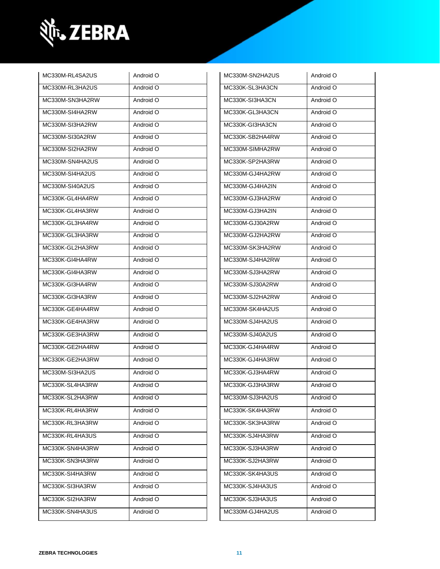

| MC330M-RL4SA2US | Android O | MC330M-SN2HA2US | Android O |
|-----------------|-----------|-----------------|-----------|
| MC330M-RL3HA2US | Android O | MC330K-SL3HA3CN | Android O |
| MC330M-SN3HA2RW | Android O | MC330K-SI3HA3CN | Android O |
| MC330M-SI4HA2RW | Android O | MC330K-GL3HA3CN | Android O |
| MC330M-SI3HA2RW | Android O | MC330K-GI3HA3CN | Android O |
| MC330M-SI30A2RW | Android O | MC330K-SB2HA4RW | Android O |
| MC330M-SI2HA2RW | Android O | MC330M-SIMHA2RW | Android O |
| MC330M-SN4HA2US | Android O | MC330K-SP2HA3RW | Android O |
| MC330M-SI4HA2US | Android O | MC330M-GJ4HA2RW | Android O |
| MC330M-SI40A2US | Android O | MC330M-GJ4HA2IN | Android O |
| MC330K-GL4HA4RW | Android O | MC330M-GJ3HA2RW | Android O |
| MC330K-GL4HA3RW | Android O | MC330M-GJ3HA2IN | Android O |
| MC330K-GL3HA4RW | Android O | MC330M-GJ30A2RW | Android O |
| MC330K-GL3HA3RW | Android O | MC330M-GJ2HA2RW | Android O |
| MC330K-GL2HA3RW | Android O | MC330M-SK3HA2RW | Android O |
| MC330K-GI4HA4RW | Android O | MC330M-SJ4HA2RW | Android O |
| MC330K-GI4HA3RW | Android O | MC330M-SJ3HA2RW | Android O |
| MC330K-GI3HA4RW | Android O | MC330M-SJ30A2RW | Android O |
| MC330K-GI3HA3RW | Android O | MC330M-SJ2HA2RW | Android O |
| MC330K-GE4HA4RW | Android O | MC330M-SK4HA2US | Android O |
| MC330K-GE4HA3RW | Android O | MC330M-SJ4HA2US | Android O |
| MC330K-GE3HA3RW | Android O | MC330M-SJ40A2US | Android O |
| MC330K-GE2HA4RW | Android O | MC330K-GJ4HA4RW | Android O |
| MC330K-GE2HA3RW | Android O | MC330K-GJ4HA3RW | Android O |
| MC330M-SI3HA2US | Android O | MC330K-GJ3HA4RW | Android O |
| MC330K-SL4HA3RW | Android O | MC330K-GJ3HA3RW | Android O |
| MC330K-SL2HA3RW | Android O | MC330M-SJ3HA2US | Android O |
| MC330K-RL4HA3RW | Android O | MC330K-SK4HA3RW | Android O |
| MC330K-RL3HA3RW | Android O | MC330K-SK3HA3RW | Android O |
| MC330K-RL4HA3US | Android O | MC330K-SJ4HA3RW | Android O |
| MC330K-SN4HA3RW | Android O | MC330K-SJ3HA3RW | Android O |
| MC330K-SN3HA3RW | Android O | MC330K-SJ2HA3RW | Android O |
| MC330K-SI4HA3RW | Android O | MC330K-SK4HA3US | Android O |
| MC330K-SI3HA3RW | Android O | MC330K-SJ4HA3US | Android O |
| MC330K-SI2HA3RW | Android O | MC330K-SJ3HA3US | Android O |
| MC330K-SN4HA3US | Android O | MC330M-GJ4HA2US | Android O |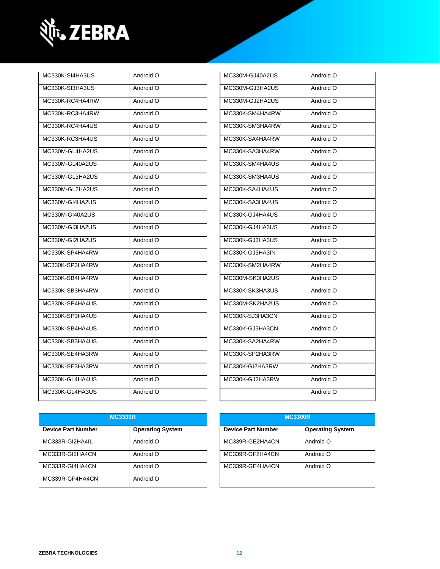

| MC330K-SI4HA3US | Android O | MC330M-GJ40A2US | Android O |
|-----------------|-----------|-----------------|-----------|
| MC330K-SI3HA3US | Android O | MC330M-GJ3HA2US | Android O |
| MC330K-RC4HA4RW | Android O | MC330M-GJ2HA2US | Android O |
| MC330K-RC3HA4RW | Android O | MC330K-SM4HA4RW | Android O |
| MC330K-RC4HA4US | Android O | MC330K-SM3HA4RW | Android O |
| MC330K-RC3HA4US | Android O | MC330K-SA4HA4RW | Android O |
| MC330M-GL4HA2US | Android O | MC330K-SA3HA4RW | Android O |
| MC330M-GL40A2US | Android O | MC330K-SM4HA4US | Android O |
| MC330M-GL3HA2US | Android O | MC330K-SM3HA4US | Android O |
| MC330M-GL2HA2US | Android O | MC330K-SA4HA4US | Android O |
| MC330M-GI4HA2US | Android O | MC330K-SA3HA4US | Android O |
| MC330M-GI40A2US | Android O | MC330K-GJ4HA4US | Android O |
| MC330M-GI3HA2US | Android O | MC330K-GJ4HA3US | Android O |
| MC330M-GI2HA2US | Android O | MC330K-GJ3HA3US | Android O |
| MC330K-SP4HA4RW | Android O | MC330K-GJ3HA3IN | Android O |
| MC330K-SP3HA4RW | Android O | MC330K-SM2HA4RW | Android O |
| MC330K-SB4HA4RW | Android O | MC330M-SK3HA2US | Android O |
| MC330K-SB3HA4RW | Android O | MC330K-SK3HA3US | Android O |
| MC330K-SP4HA4US | Android O | MC330M-SK2HA2US | Android O |
| MC330K-SP3HA4US | Android O | MC330K-SJ3HA3CN | Android O |
| MC330K-SB4HA4US | Android O | MC330K-GJ3HA3CN | Android O |
| MC330K-SB3HA4US | Android O | MC330K-SA2HA4RW | Android O |
| MC330K-SE4HA3RW | Android O | MC330K-SP2HA3RW | Android O |
| MC330K-SE3HA3RW | Android O | MC330K-GI2HA3RW | Android O |
| MC330K-GL4HA4US | Android O | MC330K-GJ2HA3RW | Android O |
| MC330K-GL4HA3US | Android O |                 | Android O |
|                 |           |                 |           |

| MC330M-GJ40A2US | Android O |
|-----------------|-----------|
| MC330M-GJ3HA2US | Android O |
| MC330M-GJ2HA2US | Android O |
| MC330K-SM4HA4RW | Android O |
| MC330K-SM3HA4RW | Android O |
| MC330K-SA4HA4RW | Android O |
| MC330K-SA3HA4RW | Android O |
| MC330K-SM4HA4US | Android O |
| MC330K-SM3HA4US | Android O |
| MC330K-SA4HA4US | Android O |
| MC330K-SA3HA4US | Android O |
| MC330K-GJ4HA4US | Android O |
| MC330K-GJ4HA3US | Android O |
| MC330K-GJ3HA3US | Android O |
| MC330K-GJ3HA3IN | Android O |
| MC330K-SM2HA4RW | Android O |
| MC330M-SK3HA2US | Android O |
| MC330K-SK3HA3US | Android O |
| MC330M-SK2HA2US | Android O |
| MC330K-SJ3HA3CN | Android O |
| MC330K-GJ3HA3CN | Android O |
| MC330K-SA2HA4RW | Android O |
| MC330K-SP2HA3RW | Android O |
| MC330K-GI2HA3RW | Android O |
| MC330K-GJ2HA3RW | Android O |
|                 | Android O |

| <b>MC3300R</b>            |                         | <b>MC3300R</b>            |                         |
|---------------------------|-------------------------|---------------------------|-------------------------|
| <b>Device Part Number</b> | <b>Operating System</b> | <b>Device Part Number</b> | <b>Operating System</b> |
| MC333R-GI2HA4IL           | Android O               | MC339R-GE2HA4CN           | Android O               |
| MC333R-GI2HA4CN           | Android O               | MC339R-GF2HA4CN           | Android O               |
| MC333R-GI4HA4CN           | Android O               | MC339R-GE4HA4CN           | Android O               |
| MC339R-GF4HA4CN           | Android O               |                           |                         |

| <b>MC3300R</b>            |                         |  |
|---------------------------|-------------------------|--|
| <b>Device Part Number</b> | <b>Operating System</b> |  |
| MC339R-GE2HA4CN           | Android O               |  |
| MC339R-GF2HA4CN           | Android O               |  |
| MC339R-GE4HA4CN           | Android O               |  |
|                           |                         |  |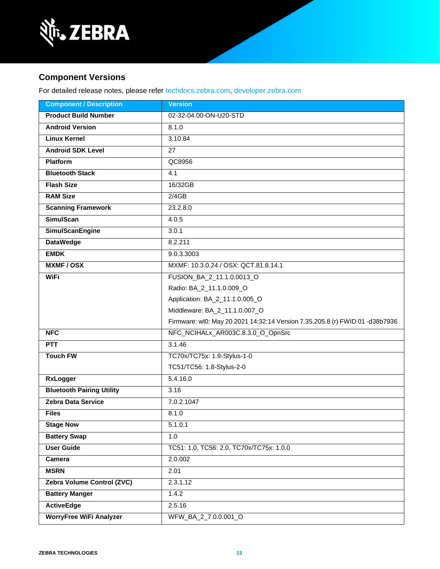

### **Component Versions**

For detailed release notes, please refer [techdocs.zebra.com,](https://techdocs.zebra.com/) [developer.zebra.com](https://developer.zebra.com/)

| <b>Component / Description</b>   | <b>Version</b>                                                               |  |
|----------------------------------|------------------------------------------------------------------------------|--|
| <b>Product Build Number</b>      | 02-32-04.00-ON-U20-STD                                                       |  |
| <b>Android Version</b>           | 8.1.0                                                                        |  |
| <b>Linux Kernel</b>              | 3.10.84                                                                      |  |
| <b>Android SDK Level</b>         | $\overline{27}$                                                              |  |
| <b>Platform</b>                  | QC8956                                                                       |  |
| <b>Bluetooth Stack</b>           | 4.1                                                                          |  |
| <b>Flash Size</b>                | 16/32GB                                                                      |  |
| <b>RAM Size</b>                  | 2/4GB                                                                        |  |
| <b>Scanning Framework</b>        | 23.2.8.0                                                                     |  |
| <b>SimulScan</b>                 | 4.0.5                                                                        |  |
| <b>SimulScanEngine</b>           | 3.0.1                                                                        |  |
| <b>DataWedge</b>                 | 8.2.211                                                                      |  |
| <b>EMDK</b>                      | 9.0.3.3003                                                                   |  |
| <b>MXMF/OSX</b>                  | MXMF: 10.3.0.24 / OSX: QCT.81.8.14.1                                         |  |
| <b>WiFi</b>                      | FUSION_BA_2_11.1.0.0013_O                                                    |  |
|                                  | Radio: BA_2_11.1.0.009_O                                                     |  |
|                                  | Application: BA_2_11.1.0.005_O                                               |  |
|                                  | Middleware: BA_2_11.1.0.007_O                                                |  |
|                                  | Firmware: wl0: May 20 2021 14:32:14 Version 7.35.205.8 (r) FWID 01 -d38b7936 |  |
| <b>NFC</b>                       | NFC_NCIHALx_AR003C.8.3.0_O_OpnSrc                                            |  |
| <b>PTT</b>                       | 3.1.46                                                                       |  |
| <b>Touch FW</b>                  | TC70x/TC75x: 1.9-Stylus-1-0                                                  |  |
|                                  | TC51/TC56: 1.8-Stylus-2-0                                                    |  |
| <b>RxLogger</b>                  | 5.4.16.0                                                                     |  |
| <b>Bluetooth Pairing Utility</b> | 3.16                                                                         |  |
| <b>Zebra Data Service</b>        | 7.0.2.1047                                                                   |  |
| <b>Files</b>                     | 8.1.0                                                                        |  |
| <b>Stage Now</b>                 | 5.1.0.1                                                                      |  |
| <b>Battery Swap</b>              | 1.0                                                                          |  |
| <b>User Guide</b>                | TC51: 1.0, TC56: 2.0, TC70x/TC75x: 1.0.0                                     |  |
| Camera                           | 2.0.002                                                                      |  |
| <b>MSRN</b>                      | 2.01                                                                         |  |
| Zebra Volume Control (ZVC)       | 2.3.1.12                                                                     |  |
| <b>Battery Manger</b>            | 1.4.2                                                                        |  |
| <b>ActiveEdge</b>                | 2.5.16                                                                       |  |
| <b>WorryFree WiFi Analyzer</b>   | WFW_BA_2_7.0.0.001_O                                                         |  |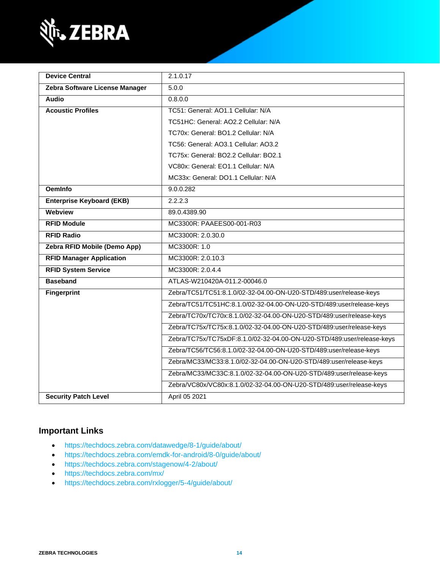

| <b>Device Central</b>            | 2.1.0.17                                                               |
|----------------------------------|------------------------------------------------------------------------|
| Zebra Software License Manager   | 5.0.0                                                                  |
| <b>Audio</b>                     | 0.8.0.0                                                                |
| <b>Acoustic Profiles</b>         | TC51: General: AO1.1 Cellular: N/A                                     |
|                                  | TC51HC: General: AO2.2 Cellular: N/A                                   |
|                                  | TC70x: General: BO1.2 Cellular: N/A                                    |
|                                  | TC56: General: AO3.1 Cellular: AO3.2                                   |
|                                  | TC75x: General: BO2.2 Cellular: BO2.1                                  |
|                                  | VC80x: General: EO1.1 Cellular: N/A                                    |
|                                  | MC33x: General: DO1.1 Cellular: N/A                                    |
| <b>OemInfo</b>                   | 9.0.0.282                                                              |
| <b>Enterprise Keyboard (EKB)</b> | 2.2.2.3                                                                |
| Webview                          | 89.0.4389.90                                                           |
| <b>RFID Module</b>               | MC3300R: PAAEES00-001-R03                                              |
| <b>RFID Radio</b>                | MC3300R: 2.0.30.0                                                      |
| Zebra RFID Mobile (Demo App)     | MC3300R: 1.0                                                           |
| <b>RFID Manager Application</b>  | MC3300R: 2.0.10.3                                                      |
| <b>RFID System Service</b>       | MC3300R: 2.0.4.4                                                       |
| <b>Baseband</b>                  | ATLAS-W210420A-011.2-00046.0                                           |
| <b>Fingerprint</b>               | Zebra/TC51/TC51:8.1.0/02-32-04.00-ON-U20-STD/489:user/release-keys     |
|                                  | Zebra/TC51/TC51HC:8.1.0/02-32-04.00-ON-U20-STD/489:user/release-keys   |
|                                  | Zebra/TC70x/TC70x:8.1.0/02-32-04.00-ON-U20-STD/489:user/release-keys   |
|                                  | Zebra/TC75x/TC75x:8.1.0/02-32-04.00-ON-U20-STD/489:user/release-keys   |
|                                  | Zebra/TC75x/TC75xDF:8.1.0/02-32-04.00-ON-U20-STD/489:user/release-keys |
|                                  | Zebra/TC56/TC56:8.1.0/02-32-04.00-ON-U20-STD/489:user/release-keys     |
|                                  | Zebra/MC33/MC33:8.1.0/02-32-04.00-ON-U20-STD/489:user/release-keys     |
|                                  | Zebra/MC33/MC33C:8.1.0/02-32-04.00-ON-U20-STD/489:user/release-keys    |
|                                  | Zebra/VC80x/VC80x:8.1.0/02-32-04.00-ON-U20-STD/489:user/release-keys   |
| <b>Security Patch Level</b>      | April 05 2021                                                          |

### **Important Links**

- <https://techdocs.zebra.com/datawedge/8-1/guide/about/>
- <https://techdocs.zebra.com/emdk-for-android/8-0/guide/about/>
- <https://techdocs.zebra.com/stagenow/4-2/about/>
- <https://techdocs.zebra.com/mx/>
- <https://techdocs.zebra.com/rxlogger/5-4/guide/about/>